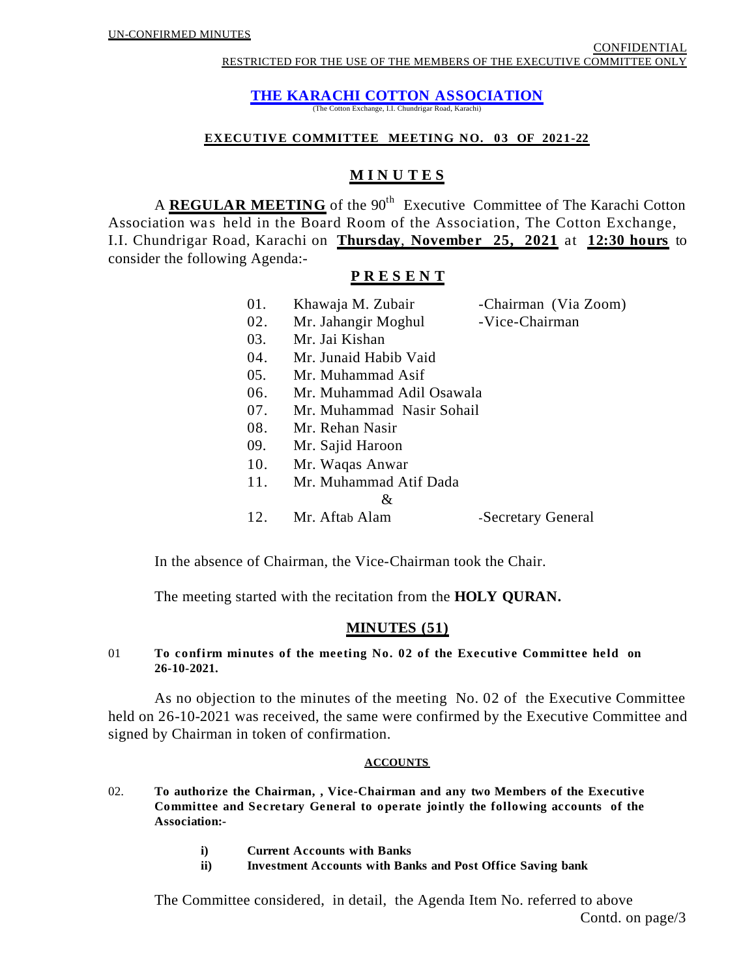**THE KARACHI COTTON ASSOCIATION**

(The Cotton Exchange, I.I. Chundrigar Road, Karachi)

#### **EXECUTIVE COMMITTEE MEETING NO. 03 OF 2021-22**

# **M I N U T E S**

A **REGULAR MEETING** of the 90<sup>th</sup> Executive Committee of The Karachi Cotton Association was held in the Board Room of the Association, The Cotton Exchange, I.I. Chundrigar Road, Karachi on **Thursday**, **November 25, 2021** at **12:30 hours** to consider the following Agenda:-

## **P R E S E N T**

| 01. | Khawaja M. Zubair         | -Chairman (Via Zoom) |
|-----|---------------------------|----------------------|
| 02. | Mr. Jahangir Moghul       | -Vice-Chairman       |
| 03. | Mr. Jai Kishan            |                      |
| 04. | Mr. Junaid Habib Vaid     |                      |
| 05. | Mr. Muhammad Asif         |                      |
| 06. | Mr. Muhammad Adil Osawala |                      |
| 07. | Mr. Muhammad Nasir Sohail |                      |
| 08. | Mr. Rehan Nasir           |                      |
| 09. | Mr. Sajid Haroon          |                      |
| 10. | Mr. Waqas Anwar           |                      |
| 11. | Mr. Muhammad Atif Dada    |                      |
|     | &                         |                      |
| 12. | Mr. Aftab Alam            | -Secretary General   |

In the absence of Chairman, the Vice-Chairman took the Chair.

The meeting started with the recitation from the **HOLY QURAN.**

## **MINUTES (51)**

## 01 **To confirm minutes of the meeting No. 02 of the Executive Committee held on 26-10-2021.**

As no objection to the minutes of the meeting No. 02 of the Executive Committee held on 26-10-2021 was received, the same were confirmed by the Executive Committee and signed by Chairman in token of confirmation.

## **ACCOUNTS**

- 02. **To authorize the Chairman, , Vice-Chairman and any two Members of the Executive Committee and Secretary General to operate jointly the following accounts of the Association:**
	- **i) Current Accounts with Banks**
	- **ii) Investment Accounts with Banks and Post Office Saving bank**

The Committee considered, in detail, the Agenda Item No. referred to above Contd. on page/3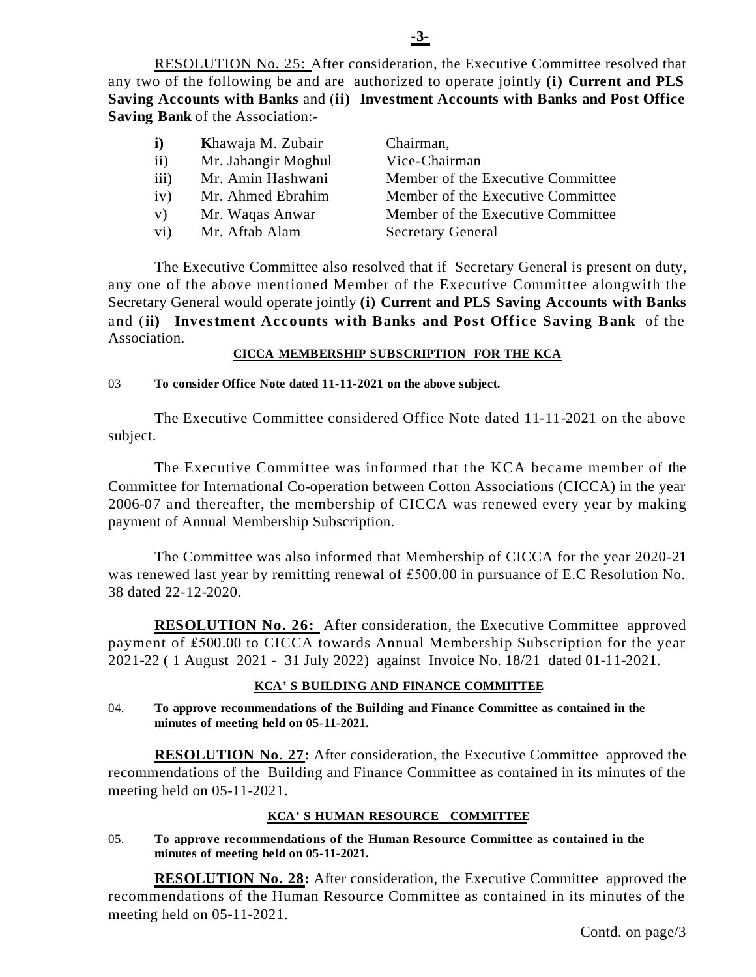RESOLUTION No. 25: After consideration, the Executive Committee resolved that any two of the following be and are authorized to operate jointly **(i) Current and PLS Saving Accounts with Banks** and (**ii) Investment Accounts with Banks and Post Office Saving Bank** of the Association:-

| $\mathbf{i}$    | Khawaja M. Zubair   | Chairman,                         |
|-----------------|---------------------|-----------------------------------|
| ii)             | Mr. Jahangir Moghul | Vice-Chairman                     |
| iii)            | Mr. Amin Hashwani   | Member of the Executive Committee |
| iv)             | Mr. Ahmed Ebrahim   | Member of the Executive Committee |
| V)              | Mr. Waqas Anwar     | Member of the Executive Committee |
| $\mathbf{v}$ i) | Mr. Aftab Alam      | <b>Secretary General</b>          |

The Executive Committee also resolved that if Secretary General is present on duty, any one of the above mentioned Member of the Executive Committee alongwith the Secretary General would operate jointly **(i) Current and PLS Saving Accounts with Banks** and (**ii) Investment Accounts with Banks and Post Office Saving Bank** of the Association.

## **CICCA MEMBERSHIP SUBSCRIPTION FOR THE KCA**

## 03 **To consider Office Note dated 11-11-2021 on the above subject.**

The Executive Committee considered Office Note dated 11-11-2021 on the above subject.

The Executive Committee was informed that the KCA became member of the Committee for International Co-operation between Cotton Associations (CICCA) in the year 2006-07 and thereafter, the membership of CICCA was renewed every year by making payment of Annual Membership Subscription.

The Committee was also informed that Membership of CICCA for the year 2020-21 was renewed last year by remitting renewal of  $£500.00$  in pursuance of E.C Resolution No. 38 dated 22-12-2020.

**RESOLUTION No. 26:** After consideration, the Executive Committee approved payment of £500.00 to CICCA towards Annual Membership Subscription for the year 2021-22 ( 1 August 2021 - 31 July 2022) against Invoice No. 18/21 dated 01-11-2021.

## **KCA'S BUILDING AND FINANCE COMMITTEE**

04. **To approve recommendations of the Building and Finance Committee as contained in the minutes of meeting held on 05-11-2021.**

**RESOLUTION No. 27:** After consideration, the Executive Committee approved the recommendations of the Building and Finance Committee as contained in its minutes of the meeting held on 05-11-2021.

## **KCA'S HUMAN RESOURCE COMMITTEE**

05. **To approve recommendations of the Human Resource Committee as contained in the minutes of meeting held on 05-11-2021.**

**RESOLUTION No. 28:** After consideration, the Executive Committee approved the recommendations of the Human Resource Committee as contained in its minutes of the meeting held on 05-11-2021.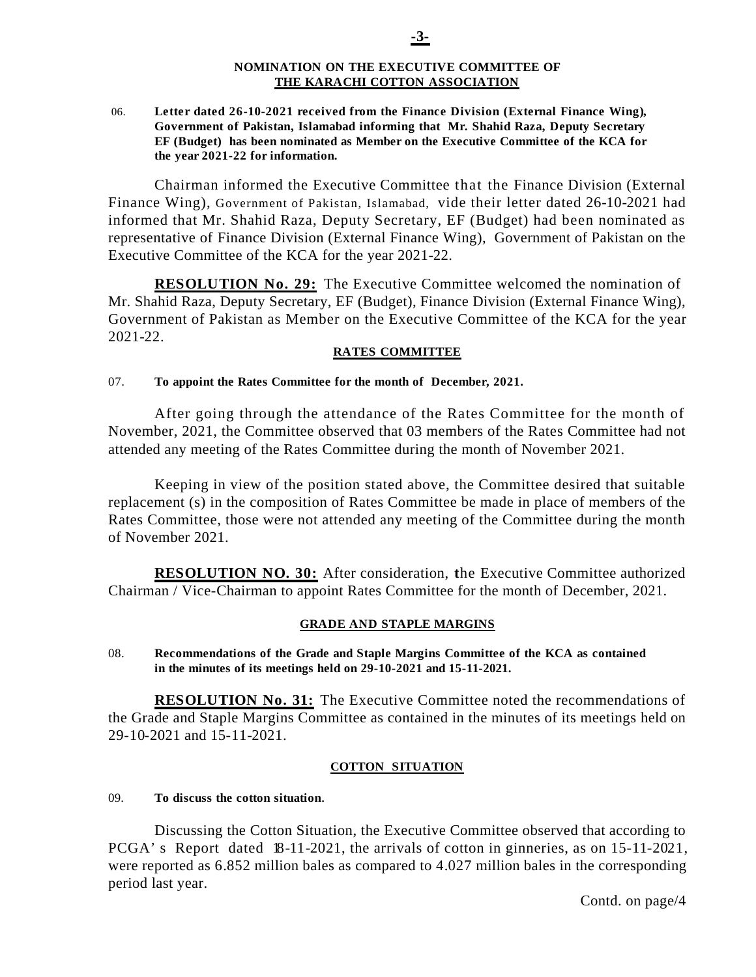#### **NOMINATION ON THE EXECUTIVE COMMITTEE OF THE KARACHI COTTON ASSOCIATION**

 06. **Letter dated 26-10-2021 received from the Finance Division (External Finance Wing), Government of Pakistan, Islamabad informing that Mr. Shahid Raza, Deputy Secretary EF (Budget) has been nominated as Member on the Executive Committee of the KCA for the year 2021-22 for information.** 

Chairman informed the Executive Committee that the Finance Division (External Finance Wing), Government of Pakistan, Islamabad, vide their letter dated 26-10-2021 had informed that Mr. Shahid Raza, Deputy Secretary, EF (Budget) had been nominated as representative of Finance Division (External Finance Wing), Government of Pakistan on the Executive Committee of the KCA for the year 2021-22.

**RESOLUTION No. 29:** The Executive Committee welcomed the nomination of Mr. Shahid Raza, Deputy Secretary, EF (Budget), Finance Division (External Finance Wing), Government of Pakistan as Member on the Executive Committee of the KCA for the year 2021-22.

## **RATES COMMITTEE**

#### 07. **To appoint the Rates Committee for the month of December, 2021.**

After going through the attendance of the Rates Committee for the month of November, 2021, the Committee observed that 03 members of the Rates Committee had not attended any meeting of the Rates Committee during the month of November 2021.

Keeping in view of the position stated above, the Committee desired that suitable replacement (s) in the composition of Rates Committee be made in place of members of the Rates Committee, those were not attended any meeting of the Committee during the month of November 2021.

**RESOLUTION NO. 30:** After consideration, **t**he Executive Committee authorized Chairman / Vice-Chairman to appoint Rates Committee for the month of December, 2021.

## **GRADE AND STAPLE MARGINS**

08. **Recommendations of the Grade and Staple Margins Committee of the KCA as contained in the minutes of its meetings held on 29-10-2021 and 15-11-2021.**

**RESOLUTION No. 31:** The Executive Committee noted the recommendations of the Grade and Staple Margins Committee as contained in the minutes of its meetings held on 29-10-2021 and 15-11-2021.

## **COTTON SITUATION**

#### 09. **To discuss the cotton situation**.

Discussing the Cotton Situation, the Executive Committee observed that according to PCGA's Report dated 18-11-2021, the arrivals of cotton in ginneries, as on 15-11-2021, were reported as 6.852 million bales as compared to 4.027 million bales in the corresponding period last year.

Contd. on page/4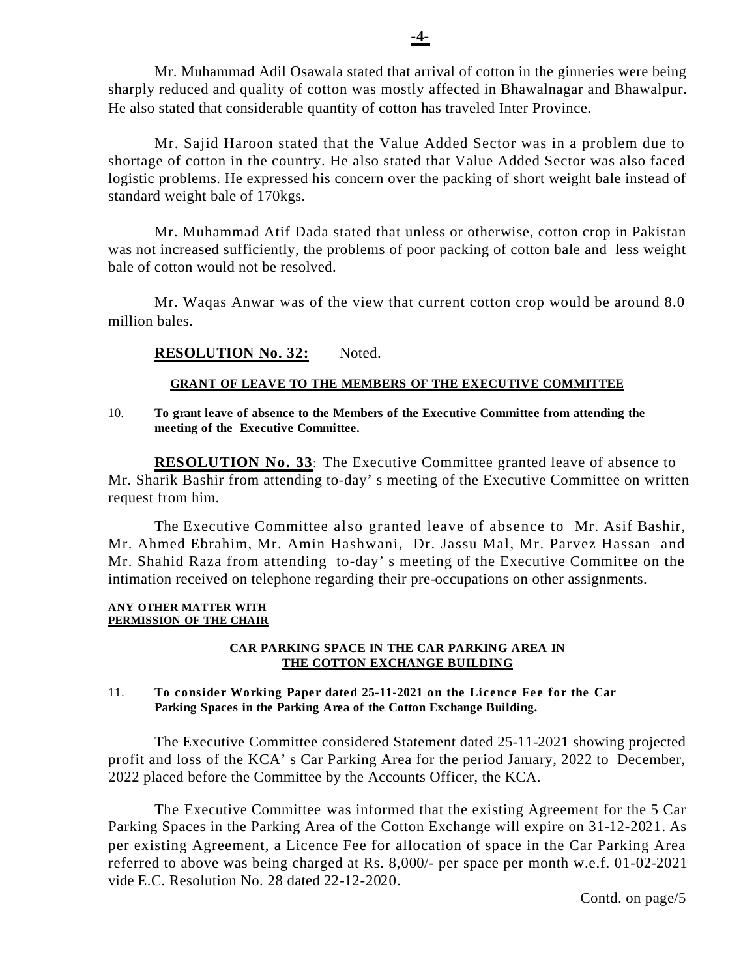Mr. Muhammad Adil Osawala stated that arrival of cotton in the ginneries were being sharply reduced and quality of cotton was mostly affected in Bhawalnagar and Bhawalpur. He also stated that considerable quantity of cotton has traveled Inter Province.

Mr. Sajid Haroon stated that the Value Added Sector was in a problem due to shortage of cotton in the country. He also stated that Value Added Sector was also faced logistic problems. He expressed his concern over the packing of short weight bale instead of standard weight bale of 170kgs.

Mr. Muhammad Atif Dada stated that unless or otherwise, cotton crop in Pakistan was not increased sufficiently, the problems of poor packing of cotton bale and less weight bale of cotton would not be resolved.

Mr. Waqas Anwar was of the view that current cotton crop would be around 8.0 million bales.

## **RESOLUTION No. 32:** Noted.

## **GRANT OF LEAVE TO THE MEMBERS OF THE EXECUTIVE COMMITTEE**

10. **To grant leave of absence to the Members of the Executive Committee from attending the meeting of the Executive Committee.**

**RESOLUTION No. 33**: The Executive Committee granted leave of absence to Mr. Sharik Bashir from attending to-day's meeting of the Executive Committee on written request from him.

The Executive Committee also granted leave of absence to Mr. Asif Bashir, Mr. Ahmed Ebrahim, Mr. Amin Hashwani, Dr. Jassu Mal, Mr. Parvez Hassan and Mr. Shahid Raza from attending to-day's meeting of the Executive Committee on the intimation received on telephone regarding their pre-occupations on other assignments.

#### **ANY OTHER MATTER WITH PERMISSION OF THE CHAIR**

#### **CAR PARKING SPACE IN THE CAR PARKING AREA IN THE COTTON EXCHANGE BUILDING**

#### 11. **To consider Working Paper dated 25-11-2021 on the Licence Fee for the Car Parking Spaces in the Parking Area of the Cotton Exchange Building.**

The Executive Committee considered Statement dated 25-11-2021 showing projected profit and loss of the KCA's Car Parking Area for the period January, 2022 to December, 2022 placed before the Committee by the Accounts Officer, the KCA.

The Executive Committee was informed that the existing Agreement for the 5 Car Parking Spaces in the Parking Area of the Cotton Exchange will expire on 31-12-2021. As per existing Agreement, a Licence Fee for allocation of space in the Car Parking Area referred to above was being charged at Rs. 8,000/- per space per month w.e.f. 01-02-2021 vide E.C. Resolution No. 28 dated 22-12-2020.

Contd. on page/5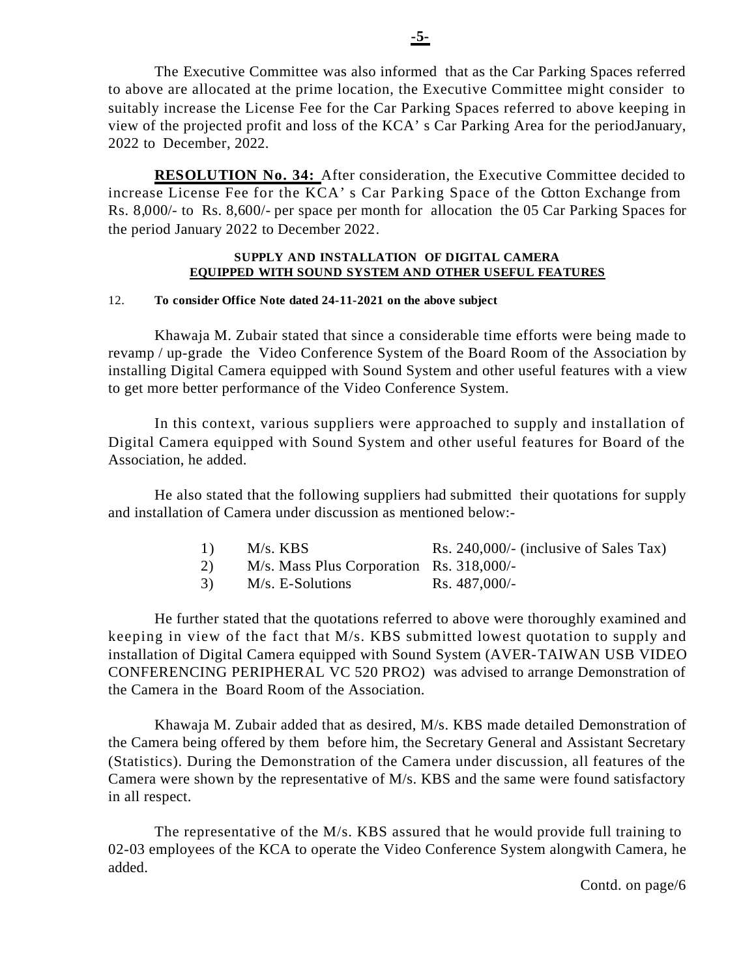The Executive Committee was also informed that as the Car Parking Spaces referred to above are allocated at the prime location, the Executive Committee might consider to suitably increase the License Fee for the Car Parking Spaces referred to above keeping in view of the projected profit and loss of the KCA's Car Parking Area for the period January, 2022 to December, 2022.

**RESOLUTION No. 34:** After consideration, the Executive Committee decided to increase License Fee for the KCA's Car Parking Space of the Cotton Exchange from Rs. 8,000/- to Rs. 8,600/- per space per month for allocation the 05 Car Parking Spaces for the period January 2022 to December 2022.

#### **SUPPLY AND INSTALLATION OF DIGITAL CAMERA EQUIPPED WITH SOUND SYSTEM AND OTHER USEFUL FEATURES**

## 12. **To consider Office Note dated 24-11-2021 on the above subject**

Khawaja M. Zubair stated that since a considerable time efforts were being made to revamp / up-grade the Video Conference System of the Board Room of the Association by installing Digital Camera equipped with Sound System and other useful features with a view to get more better performance of the Video Conference System.

In this context, various suppliers were approached to supply and installation of Digital Camera equipped with Sound System and other useful features for Board of the Association, he added.

He also stated that the following suppliers had submitted their quotations for supply and installation of Camera under discussion as mentioned below:-

| 1) | $M/s.$ KBS                               | Rs. $240,000/$ - (inclusive of Sales Tax) |
|----|------------------------------------------|-------------------------------------------|
| 2) | M/s. Mass Plus Corporation Rs. 318,000/- |                                           |
| 3) | M/s. E-Solutions                         | Rs. $487,000/-$                           |

He further stated that the quotations referred to above were thoroughly examined and keeping in view of the fact that M/s. KBS submitted lowest quotation to supply and installation of Digital Camera equipped with Sound System (AVER-TAIWAN USB VIDEO CONFERENCING PERIPHERAL VC 520 PRO2) was advised to arrange Demonstration of the Camera in the Board Room of the Association.

Khawaja M. Zubair added that as desired, M/s. KBS made detailed Demonstration of the Camera being offered by them before him, the Secretary General and Assistant Secretary (Statistics). During the Demonstration of the Camera under discussion, all features of the Camera were shown by the representative of M/s. KBS and the same were found satisfactory in all respect.

The representative of the M/s. KBS assured that he would provide full training to 02-03 employees of the KCA to operate the Video Conference System alongwith Camera, he added.

Contd. on page/6